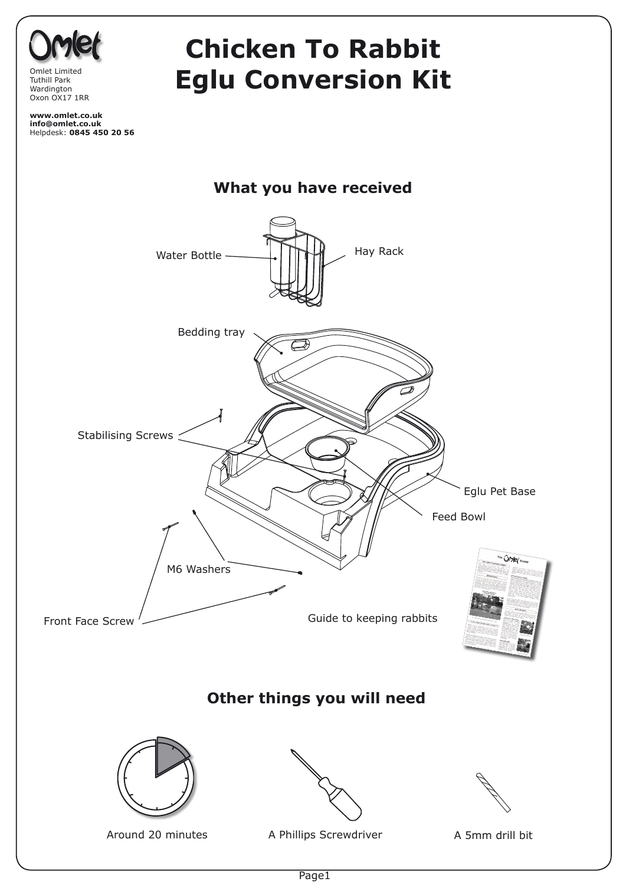

Page1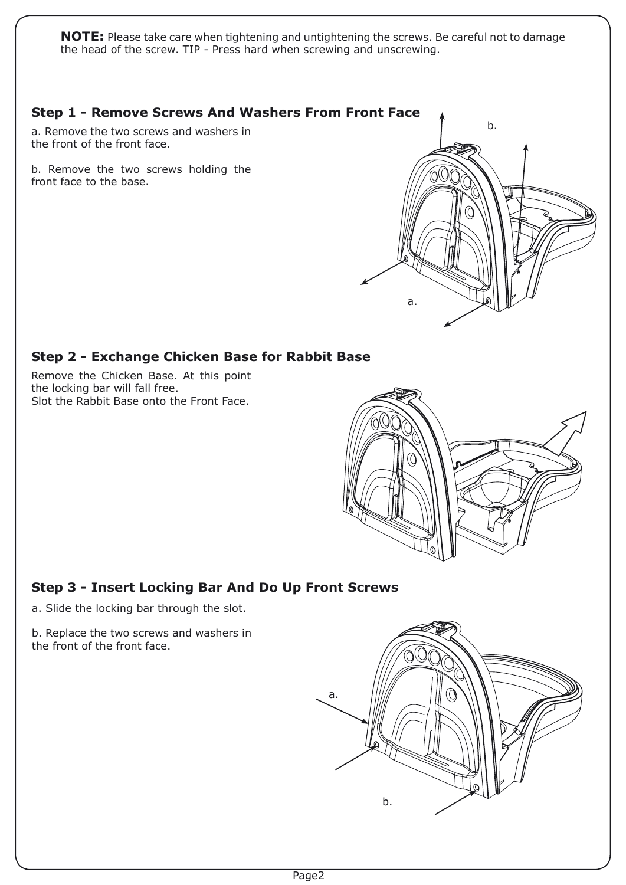**NOTE:** Please take care when tightening and untightening the screws. Be careful not to damage the head of the screw. TIP - Press hard when screwing and unscrewing.



b.